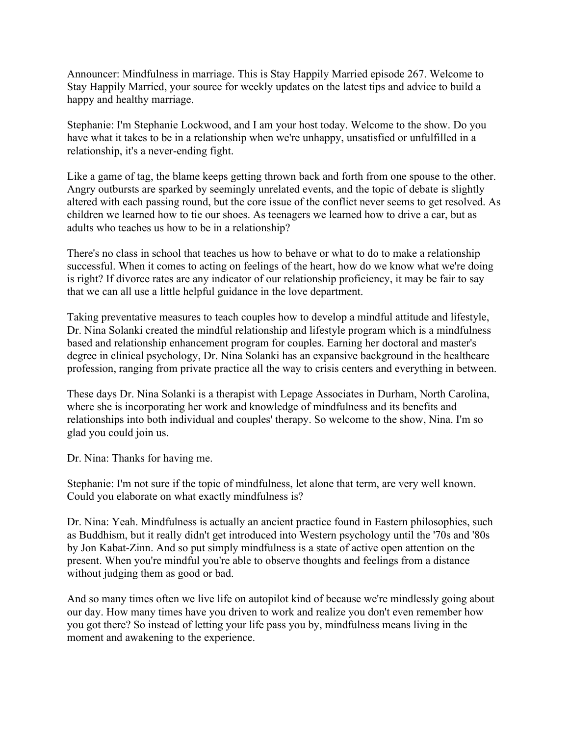Announcer: Mindfulness in marriage. This is Stay Happily Married episode 267. Welcome to Stay Happily Married, your source for weekly updates on the latest tips and advice to build a happy and healthy marriage.

Stephanie: I'm Stephanie Lockwood, and I am your host today. Welcome to the show. Do you have what it takes to be in a relationship when we're unhappy, unsatisfied or unfulfilled in a relationship, it's a never-ending fight.

Like a game of tag, the blame keeps getting thrown back and forth from one spouse to the other. Angry outbursts are sparked by seemingly unrelated events, and the topic of debate is slightly altered with each passing round, but the core issue of the conflict never seems to get resolved. As children we learned how to tie our shoes. As teenagers we learned how to drive a car, but as adults who teaches us how to be in a relationship?

There's no class in school that teaches us how to behave or what to do to make a relationship successful. When it comes to acting on feelings of the heart, how do we know what we're doing is right? If divorce rates are any indicator of our relationship proficiency, it may be fair to say that we can all use a little helpful guidance in the love department.

Taking preventative measures to teach couples how to develop a mindful attitude and lifestyle, Dr. Nina Solanki created the mindful relationship and lifestyle program which is a mindfulness based and relationship enhancement program for couples. Earning her doctoral and master's degree in clinical psychology, Dr. Nina Solanki has an expansive background in the healthcare profession, ranging from private practice all the way to crisis centers and everything in between.

These days Dr. Nina Solanki is a therapist with Lepage Associates in Durham, North Carolina, where she is incorporating her work and knowledge of mindfulness and its benefits and relationships into both individual and couples' therapy. So welcome to the show, Nina. I'm so glad you could join us.

Dr. Nina: Thanks for having me.

Stephanie: I'm not sure if the topic of mindfulness, let alone that term, are very well known. Could you elaborate on what exactly mindfulness is?

Dr. Nina: Yeah. Mindfulness is actually an ancient practice found in Eastern philosophies, such as Buddhism, but it really didn't get introduced into Western psychology until the '70s and '80s by Jon Kabat-Zinn. And so put simply mindfulness is a state of active open attention on the present. When you're mindful you're able to observe thoughts and feelings from a distance without judging them as good or bad.

And so many times often we live life on autopilot kind of because we're mindlessly going about our day. How many times have you driven to work and realize you don't even remember how you got there? So instead of letting your life pass you by, mindfulness means living in the moment and awakening to the experience.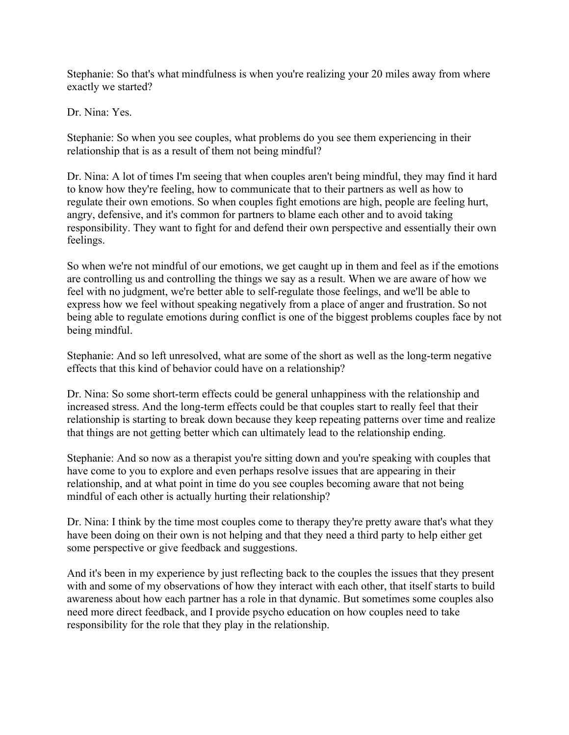Stephanie: So that's what mindfulness is when you're realizing your 20 miles away from where exactly we started?

Dr. Nina: Yes.

Stephanie: So when you see couples, what problems do you see them experiencing in their relationship that is as a result of them not being mindful?

Dr. Nina: A lot of times I'm seeing that when couples aren't being mindful, they may find it hard to know how they're feeling, how to communicate that to their partners as well as how to regulate their own emotions. So when couples fight emotions are high, people are feeling hurt, angry, defensive, and it's common for partners to blame each other and to avoid taking responsibility. They want to fight for and defend their own perspective and essentially their own feelings.

So when we're not mindful of our emotions, we get caught up in them and feel as if the emotions are controlling us and controlling the things we say as a result. When we are aware of how we feel with no judgment, we're better able to self-regulate those feelings, and we'll be able to express how we feel without speaking negatively from a place of anger and frustration. So not being able to regulate emotions during conflict is one of the biggest problems couples face by not being mindful.

Stephanie: And so left unresolved, what are some of the short as well as the long-term negative effects that this kind of behavior could have on a relationship?

Dr. Nina: So some short-term effects could be general unhappiness with the relationship and increased stress. And the long-term effects could be that couples start to really feel that their relationship is starting to break down because they keep repeating patterns over time and realize that things are not getting better which can ultimately lead to the relationship ending.

Stephanie: And so now as a therapist you're sitting down and you're speaking with couples that have come to you to explore and even perhaps resolve issues that are appearing in their relationship, and at what point in time do you see couples becoming aware that not being mindful of each other is actually hurting their relationship?

Dr. Nina: I think by the time most couples come to therapy they're pretty aware that's what they have been doing on their own is not helping and that they need a third party to help either get some perspective or give feedback and suggestions.

And it's been in my experience by just reflecting back to the couples the issues that they present with and some of my observations of how they interact with each other, that itself starts to build awareness about how each partner has a role in that dynamic. But sometimes some couples also need more direct feedback, and I provide psycho education on how couples need to take responsibility for the role that they play in the relationship.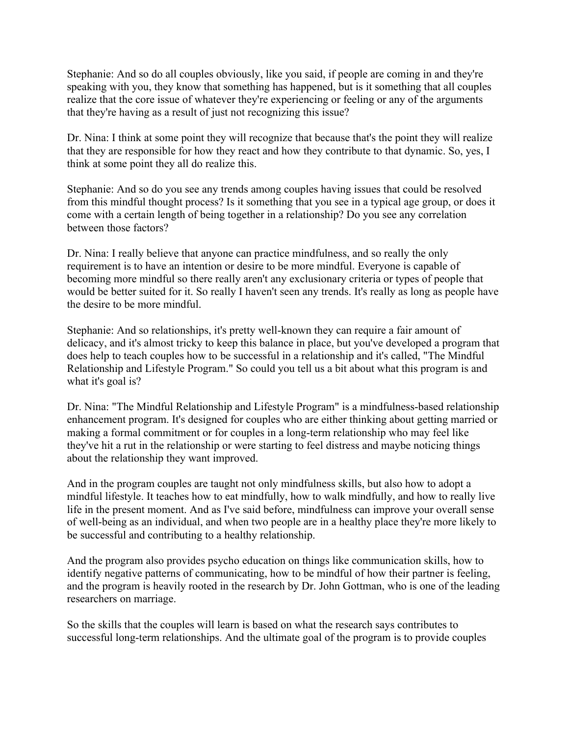Stephanie: And so do all couples obviously, like you said, if people are coming in and they're speaking with you, they know that something has happened, but is it something that all couples realize that the core issue of whatever they're experiencing or feeling or any of the arguments that they're having as a result of just not recognizing this issue?

Dr. Nina: I think at some point they will recognize that because that's the point they will realize that they are responsible for how they react and how they contribute to that dynamic. So, yes, I think at some point they all do realize this.

Stephanie: And so do you see any trends among couples having issues that could be resolved from this mindful thought process? Is it something that you see in a typical age group, or does it come with a certain length of being together in a relationship? Do you see any correlation between those factors?

Dr. Nina: I really believe that anyone can practice mindfulness, and so really the only requirement is to have an intention or desire to be more mindful. Everyone is capable of becoming more mindful so there really aren't any exclusionary criteria or types of people that would be better suited for it. So really I haven't seen any trends. It's really as long as people have the desire to be more mindful.

Stephanie: And so relationships, it's pretty well-known they can require a fair amount of delicacy, and it's almost tricky to keep this balance in place, but you've developed a program that does help to teach couples how to be successful in a relationship and it's called, "The Mindful Relationship and Lifestyle Program." So could you tell us a bit about what this program is and what it's goal is?

Dr. Nina: "The Mindful Relationship and Lifestyle Program" is a mindfulness-based relationship enhancement program. It's designed for couples who are either thinking about getting married or making a formal commitment or for couples in a long-term relationship who may feel like they've hit a rut in the relationship or were starting to feel distress and maybe noticing things about the relationship they want improved.

And in the program couples are taught not only mindfulness skills, but also how to adopt a mindful lifestyle. It teaches how to eat mindfully, how to walk mindfully, and how to really live life in the present moment. And as I've said before, mindfulness can improve your overall sense of well-being as an individual, and when two people are in a healthy place they're more likely to be successful and contributing to a healthy relationship.

And the program also provides psycho education on things like communication skills, how to identify negative patterns of communicating, how to be mindful of how their partner is feeling, and the program is heavily rooted in the research by Dr. John Gottman, who is one of the leading researchers on marriage.

So the skills that the couples will learn is based on what the research says contributes to successful long-term relationships. And the ultimate goal of the program is to provide couples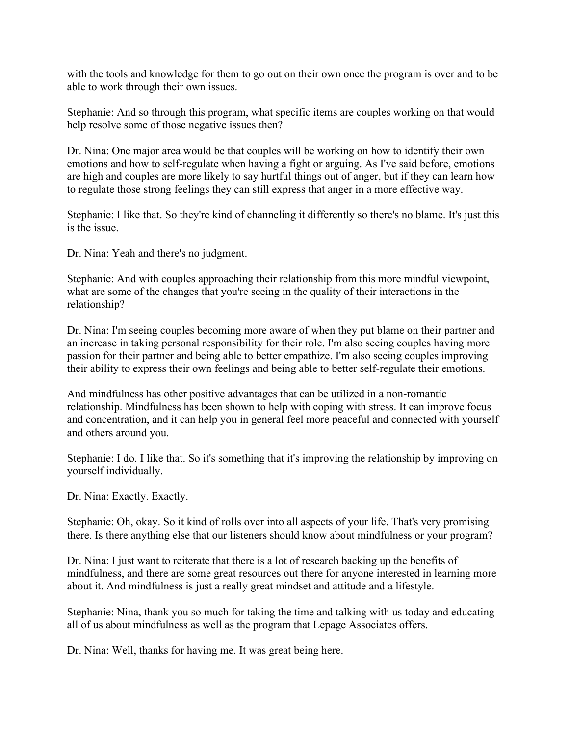with the tools and knowledge for them to go out on their own once the program is over and to be able to work through their own issues.

Stephanie: And so through this program, what specific items are couples working on that would help resolve some of those negative issues then?

Dr. Nina: One major area would be that couples will be working on how to identify their own emotions and how to self-regulate when having a fight or arguing. As I've said before, emotions are high and couples are more likely to say hurtful things out of anger, but if they can learn how to regulate those strong feelings they can still express that anger in a more effective way.

Stephanie: I like that. So they're kind of channeling it differently so there's no blame. It's just this is the issue.

Dr. Nina: Yeah and there's no judgment.

Stephanie: And with couples approaching their relationship from this more mindful viewpoint, what are some of the changes that you're seeing in the quality of their interactions in the relationship?

Dr. Nina: I'm seeing couples becoming more aware of when they put blame on their partner and an increase in taking personal responsibility for their role. I'm also seeing couples having more passion for their partner and being able to better empathize. I'm also seeing couples improving their ability to express their own feelings and being able to better self-regulate their emotions.

And mindfulness has other positive advantages that can be utilized in a non-romantic relationship. Mindfulness has been shown to help with coping with stress. It can improve focus and concentration, and it can help you in general feel more peaceful and connected with yourself and others around you.

Stephanie: I do. I like that. So it's something that it's improving the relationship by improving on yourself individually.

Dr. Nina: Exactly. Exactly.

Stephanie: Oh, okay. So it kind of rolls over into all aspects of your life. That's very promising there. Is there anything else that our listeners should know about mindfulness or your program?

Dr. Nina: I just want to reiterate that there is a lot of research backing up the benefits of mindfulness, and there are some great resources out there for anyone interested in learning more about it. And mindfulness is just a really great mindset and attitude and a lifestyle.

Stephanie: Nina, thank you so much for taking the time and talking with us today and educating all of us about mindfulness as well as the program that Lepage Associates offers.

Dr. Nina: Well, thanks for having me. It was great being here.